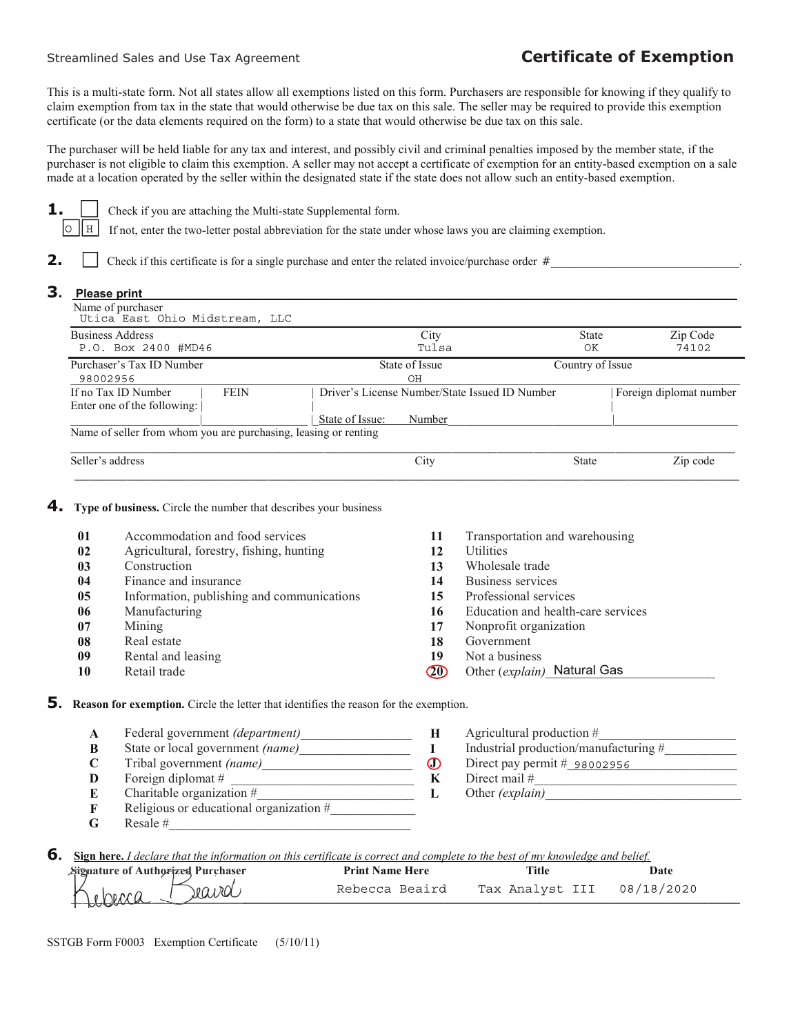## Streamlined Sales and Use Tax Agreement **Certificate of Exemption**

This is a multi-state form. Not all states allow all exemptions listed on this form. Purchasers are responsible for knowing if they qualify to claim exemption from tax in the state that would otherwise be due tax on this sale. The seller may be required to provide this exemption certificate (or the data elements required on the form) to a state that would otherwise be due tax on this sale.

The purchaser will be held liable for any tax and interest, and possibly civil and criminal penalties imposed by the member state, if the purchaser is not eligible to claim this exemption. A seller may not accept a certificate of exemption for an entity-based exemption on a sale made at a location operated by the seller within the designated state if the state does not allow such an entity-based exemption.



**1.** Check if you are attaching the Multi-state Supplemental form.

 $O$   $H$ If not, enter the two-letter postal abbreviation for the state under whose laws you are claiming exemption.

**2.** Check if this certificate is for a single purchase and enter the related invoice/purchase order  $\#$ 

## 3. Please print Name of purchaser \_\_\_\_\_\_\_\_\_\_\_\_\_\_\_\_\_\_\_\_\_\_\_\_\_\_\_\_\_\_\_\_\_\_\_\_\_\_\_\_\_\_\_\_\_\_\_\_\_\_\_\_\_\_\_\_\_\_\_\_\_\_\_\_\_\_\_\_\_\_\_\_\_\_\_\_\_\_\_\_\_\_\_\_\_\_\_\_\_\_\_\_\_\_\_\_\_\_\_\_\_\_\_\_\_\_\_\_\_\_\_\_\_\_ Business Address Address 2400 #MD46 (Edge of the State Zip Code of the State Zip Code of the State Zip Code of the State State Sip Code of the State of the State of the State of the State of the State of the State of the S Tulsa OK 74102 Purchaser's Tax ID Number State of Issue Country of Issue Country of Issue Country of Issue  $-98002956$  OH If no Tax ID Number | FEIN | Driver's License Number/State Issued ID Number | Foreign diplomat number Enter one of the following:  $|$ \_\_\_\_\_\_\_\_\_\_\_\_\_\_\_\_\_\_\_\_\_\_|\_\_\_\_\_\_\_\_\_\_\_\_\_\_\_\_\_\_ |\_State of Issue: Number\_\_\_\_\_\_\_\_\_\_\_\_\_\_\_\_\_\_\_\_\_\_\_\_\_\_\_\_|\_\_\_\_\_\_\_\_\_\_\_\_\_\_\_\_\_\_\_\_\_ Name of seller from whom you are purchasing, leasing or renting \_\_\_\_\_\_\_\_\_\_\_\_\_\_\_\_\_\_\_\_\_\_\_\_\_\_\_\_\_\_\_\_\_\_\_\_\_\_\_\_\_\_\_\_\_\_\_\_\_\_\_\_\_\_\_\_\_\_\_\_\_\_\_\_\_\_\_\_\_\_\_\_\_\_\_\_\_\_\_\_\_\_\_\_\_\_\_\_\_ Seller's address and the state Seller's address  $\overline{C}$  City State State Zip code

## **4.** Type of business. Circle the number that describes your business

| 01 | Accommodation and food services            | 11  | Transportation and warehousing     |
|----|--------------------------------------------|-----|------------------------------------|
| 02 | Agricultural, forestry, fishing, hunting   | 12  | <b>Utilities</b>                   |
| 03 | Construction                               | 13  | Wholesale trade                    |
| 04 | Finance and insurance                      | 14  | Business services                  |
| 05 | Information, publishing and communications | 15  | Professional services              |
| 06 | Manufacturing                              | 16  | Education and health-care services |
| 07 | Mining                                     | 17  | Nonprofit organization             |
| 08 | Real estate                                | 18  | Government                         |
| 09 | Rental and leasing                         | 19  | Not a business                     |
| 10 | Retail trade                               | 20) | Other (explain) Natural Gas        |

\_\_\_\_\_\_\_\_\_\_\_\_\_\_\_\_\_\_\_\_\_\_\_\_\_\_\_\_\_\_\_\_\_\_\_\_\_\_\_\_\_\_\_\_\_\_\_\_\_\_\_\_\_\_\_\_\_\_\_\_\_\_\_\_\_\_\_\_\_\_\_\_\_\_\_\_\_\_\_\_\_\_\_\_\_\_\_\_\_

5. Reason for exemption. Circle the letter that identifies the reason for the exemption.

- A Federal government *(department)* H Agricultural production #
- 
- **C** Tribal government (name)<br> **D** Direct pay permit  $\mathbf{F}$  Direct pay permit  $\mathbf{F}$  Direct mail  $\mathbf{F}$  Direct mail  $\mathbf{F}$ D Foreign diplomat #  $\mathbf{K}$
- E Charitable organization  $\#$ <br> **F** Religious or educational organization  $\#$  L Other (explain)\_
- Religious or educational organization  $#_$
- $G$  Resale #
- B State or local government (name)\_\_\_\_\_\_\_\_\_\_\_\_\_\_\_\_\_ I Industrial production/manufacturing #\_\_\_\_\_\_\_\_\_\_\_
- **6.** Sign here. I declare that the information on this certificate is correct and complete to the best of my knowledge and belief.

| Signature of Authorized Purchaser | <b>Print Name Here</b> | <b>Title</b>    | Date       |  |
|-----------------------------------|------------------------|-----------------|------------|--|
| ravd<br>rherca                    | Rebecca Beaird         | Tax Analyst III | 08/18/2020 |  |